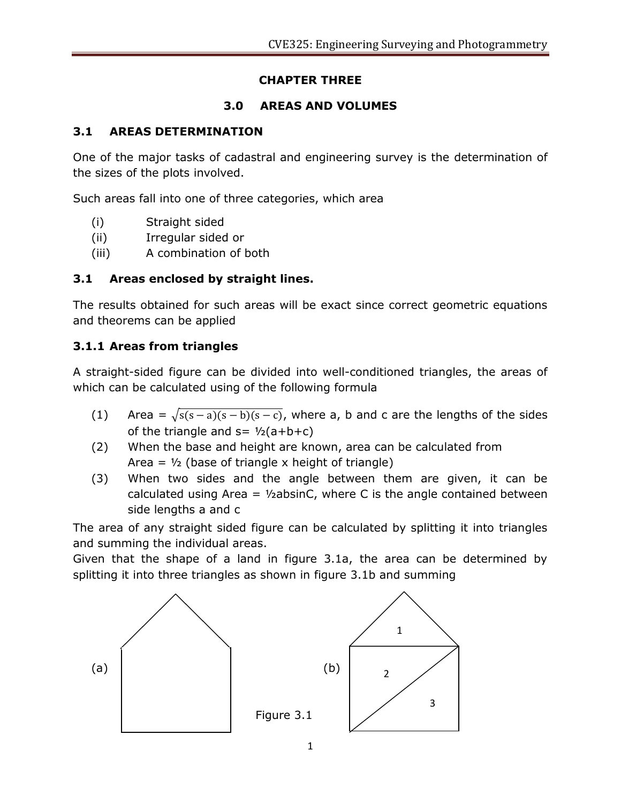# **CHAPTER THREE**

# **3.0 AREAS AND VOLUMES**

# **3.1 AREAS DETERMINATION**

One of the major tasks of cadastral and engineering survey is the determination of the sizes of the plots involved.

Such areas fall into one of three categories, which area

- (i) Straight sided
- (ii) Irregular sided or
- (iii) A combination of both

# **3.1 Areas enclosed by straight lines.**

The results obtained for such areas will be exact since correct geometric equations and theorems can be applied

# **3.1.1 Areas from triangles**

A straight-sided figure can be divided into well-conditioned triangles, the areas of which can be calculated using of the following formula

- (1) Area =  $\sqrt{s(s-a)(s-b)(s-c)}$ , where a, b and c are the lengths of the sides of the triangle and  $s = \frac{1}{2}(a+b+c)$
- (2) When the base and height are known, area can be calculated from Area =  $\frac{1}{2}$  (base of triangle x height of triangle)
- (3) When two sides and the angle between them are given, it can be calculated using Area =  $\frac{1}{2}$ absinC, where C is the angle contained between side lengths a and c

The area of any straight sided figure can be calculated by splitting it into triangles and summing the individual areas.

Given that the shape of a land in figure 3.1a, the area can be determined by splitting it into three triangles as shown in figure 3.1b and summing

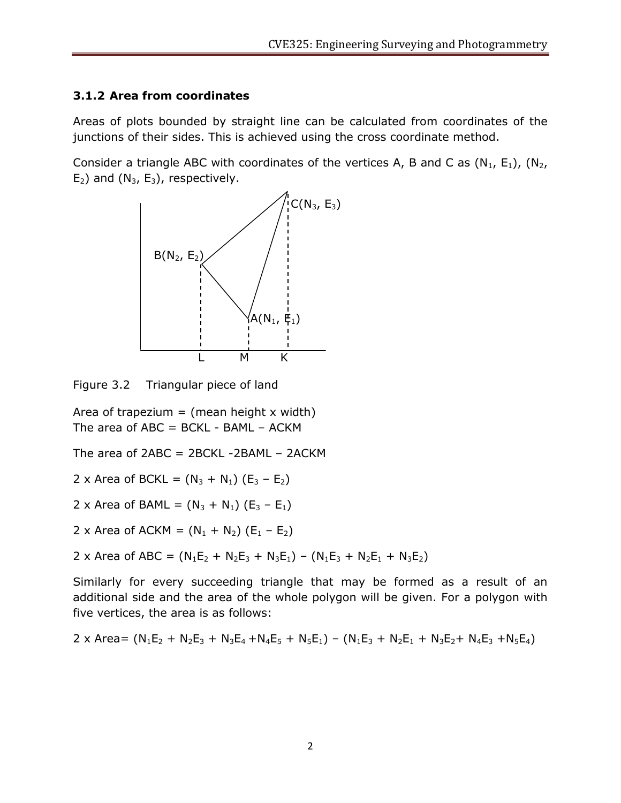# **3.1.2 Area from coordinates**

Areas of plots bounded by straight line can be calculated from coordinates of the junctions of their sides. This is achieved using the cross coordinate method.

Consider a triangle ABC with coordinates of the vertices A, B and C as  $(N_1, E_1)$ ,  $(N_2,$  $E_2$ ) and (N<sub>3</sub>,  $E_3$ ), respectively.



Figure 3.2 Triangular piece of land

Area of trapezium = (mean height  $x$  width) The area of  $ABC = BCKL - BAML - ACKM$ 

The area of  $2ABC = 2BCKL - 2BAML - 2ACKM$ 

- 2 x Area of BCKL =  $(N_3 + N_1)$   $(E_3 E_2)$
- 2 x Area of BAML =  $(N_3 + N_1)$  (E<sub>3</sub> E<sub>1</sub>)

2 x Area of ACKM =  $(N_1 + N_2)$   $(E_1 - E_2)$ 

2 x Area of ABC =  $(N_1E_2 + N_2E_3 + N_3E_1) - (N_1E_3 + N_2E_1 + N_3E_2)$ 

Similarly for every succeeding triangle that may be formed as a result of an additional side and the area of the whole polygon will be given. For a polygon with five vertices, the area is as follows:

$$
2 \times Area = (N_1E_2 + N_2E_3 + N_3E_4 + N_4E_5 + N_5E_1) - (N_1E_3 + N_2E_1 + N_3E_2 + N_4E_3 + N_5E_4)
$$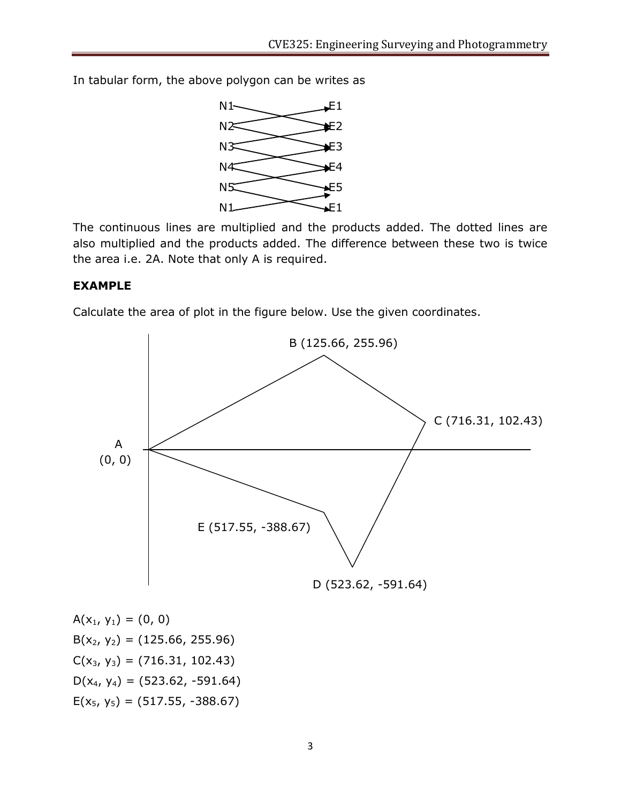In tabular form, the above polygon can be writes as



The continuous lines are multiplied and the products added. The dotted lines are also multiplied and the products added. The difference between these two is twice the area i.e. 2A. Note that only A is required.

## **EXAMPLE**

Calculate the area of plot in the figure below. Use the given coordinates.



 $A(x_1, y_1) = (0, 0)$  $B(x_2, y_2) = (125.66, 255.96)$  $C(x_3, y_3) = (716.31, 102.43)$  $D(x_4, y_4) = (523.62, -591.64)$  $E(x_5, y_5) = (517.55, -388.67)$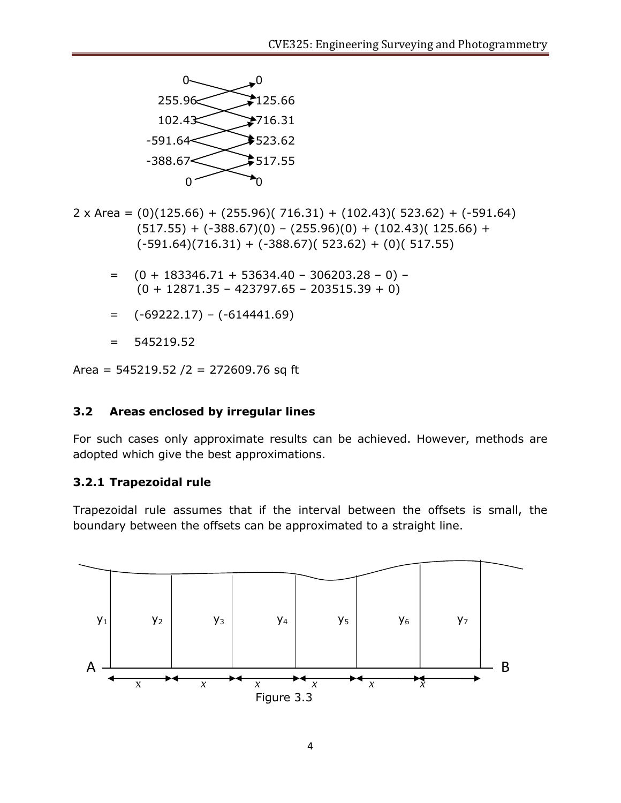

2 x Area =  $(0)(125.66) + (255.96)(716.31) + (102.43)(523.62) + (-591.64)$  $(517.55) + (-388.67)(0) - (255.96)(0) + (102.43)(125.66) +$  $(-591.64)(716.31) + (-388.67)(523.62) + (0)(517.55)$ 

- $= (0 + 183346.71 + 53634.40 306203.28 0) (0 + 12871.35 - 423797.65 - 203515.39 + 0)$
- $=$   $(-69222.17) (-614441.69)$
- $= 545219.52$

Area =  $545219.52 / 2 = 272609.76$  sq ft

### **3.2 Areas enclosed by irregular lines**

For such cases only approximate results can be achieved. However, methods are adopted which give the best approximations.

## **3.2.1 Trapezoidal rule**

Trapezoidal rule assumes that if the interval between the offsets is small, the boundary between the offsets can be approximated to a straight line.

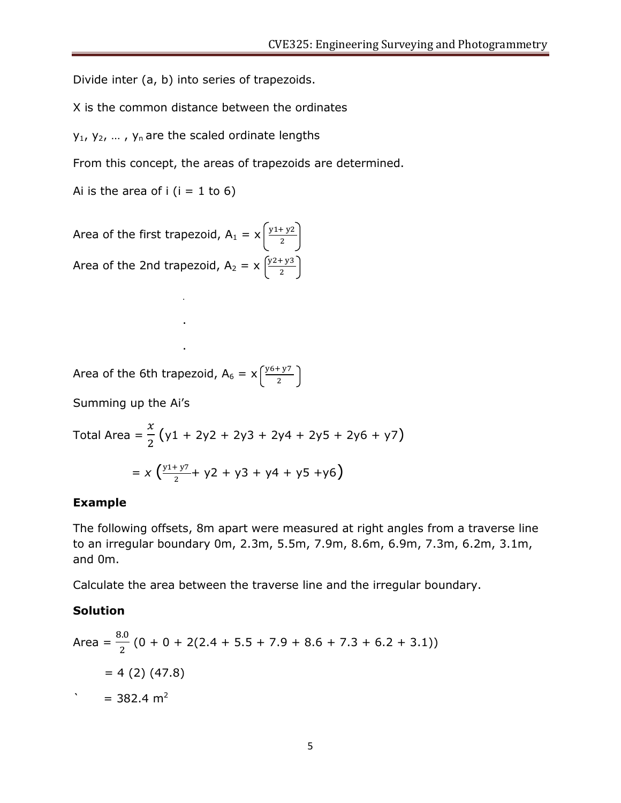Divide inter (a, b) into series of trapezoids.

X is the common distance between the ordinates

 $y_1$ ,  $y_2$ , ...,  $y_n$  are the scaled ordinate lengths

From this concept, the areas of trapezoids are determined.

Ai is the area of  $i$  ( $i = 1$  to 6)

Area of the first trapezoid, 
$$
A_1 = x \left( \frac{y_1 + y_2}{2} \right)
$$
  
Area of the 2nd trapezoid,  $A_2 = x \left( \frac{y_2 + y_3}{2} \right)$ 

.

.

.

Area of the 6th trapezoid,  $A_6 = x\sqrt{\frac{y}{x}}$ 2

Summing up the Ai's

Total Area = 
$$
\frac{x}{2}
$$
 (y1 + 2y2 + 2y3 + 2y4 + 2y5 + 2y6 + y7)  
=  $x \left( \frac{y1 + y7}{2} + y2 + y3 + y4 + y5 + y6 \right)$ 

### **Example**

The following offsets, 8m apart were measured at right angles from a traverse line to an irregular boundary 0m, 2.3m, 5.5m, 7.9m, 8.6m, 6.9m, 7.3m, 6.2m, 3.1m, and 0m.

Calculate the area between the traverse line and the irregular boundary.

### **Solution**

Area = 
$$
\frac{8.0}{2}
$$
 (0 + 0 + 2(2.4 + 5.5 + 7.9 + 8.6 + 7.3 + 6.2 + 3.1))  
= 4 (2) (47.8)  

$$
= 382.4 \text{ m}^2
$$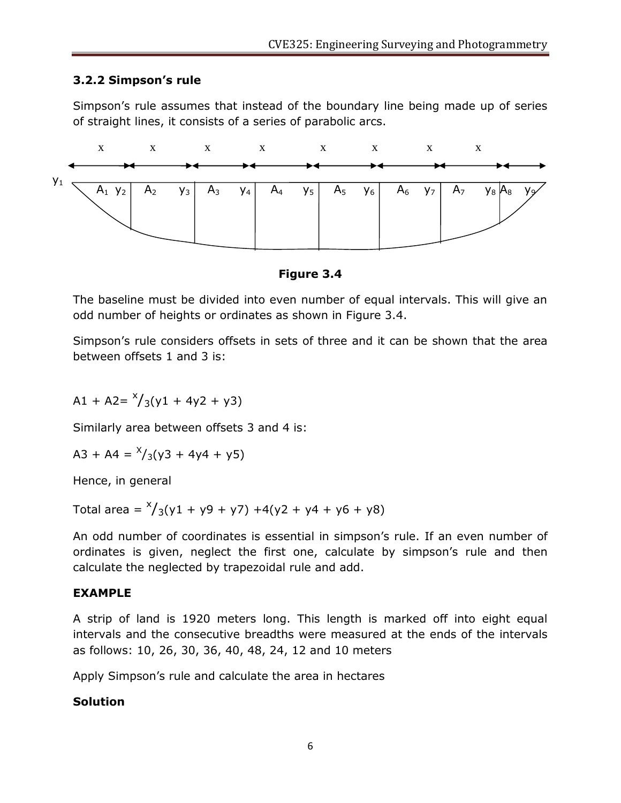# **3.2.2 Simpson's rule**

Simpson's rule assumes that instead of the boundary line being made up of series of straight lines, it consists of a series of parabolic arcs.



## **Figure 3.4**

The baseline must be divided into even number of equal intervals. This will give an odd number of heights or ordinates as shown in Figure 3.4.

Simpson's rule considers offsets in sets of three and it can be shown that the area between offsets 1 and 3 is:

$$
A1 + A2 = \frac{x}{3}(y1 + 4y2 + y3)
$$

Similarly area between offsets 3 and 4 is:

$$
A3 + A4 = \frac{x}{3}(y3 + 4y4 + y5)
$$

Hence, in general

Total area =  $\frac{x}{3}(y1 + y9 + y7) + 4(y2 + y4 + y6 + y8)$ 

An odd number of coordinates is essential in simpson's rule. If an even number of ordinates is given, neglect the first one, calculate by simpson's rule and then calculate the neglected by trapezoidal rule and add.

## **EXAMPLE**

A strip of land is 1920 meters long. This length is marked off into eight equal intervals and the consecutive breadths were measured at the ends of the intervals as follows: 10, 26, 30, 36, 40, 48, 24, 12 and 10 meters

Apply Simpson's rule and calculate the area in hectares

## **Solution**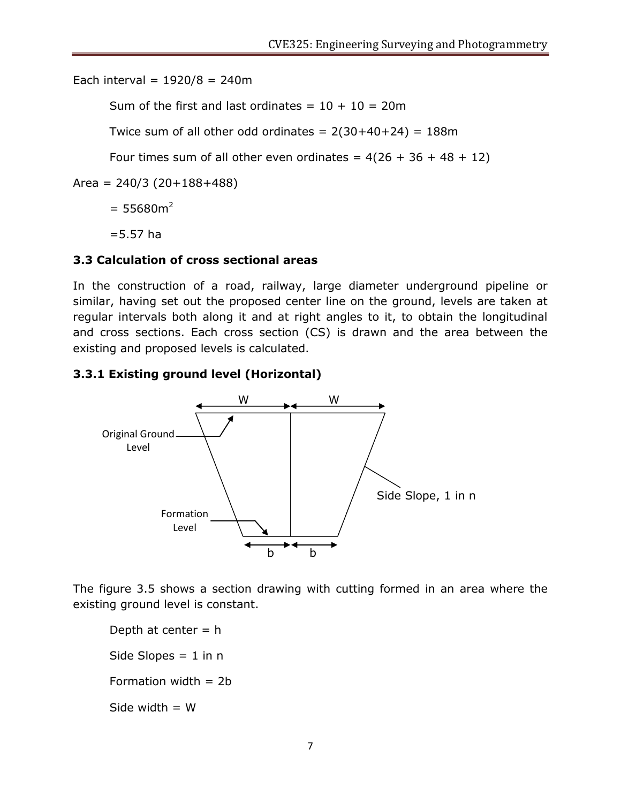Each interval =  $1920/8 = 240m$ 

Sum of the first and last ordinates =  $10 + 10 = 20$ m

Twice sum of all other odd ordinates =  $2(30+40+24)$  = 188m

Four times sum of all other even ordinates =  $4(26 + 36 + 48 + 12)$ 

 $Area = 240/3 (20+188+488)$ 

 $= 55680m^2$ 

 $= 5.57$  ha

# **3.3 Calculation of cross sectional areas**

In the construction of a road, railway, large diameter underground pipeline or similar, having set out the proposed center line on the ground, levels are taken at regular intervals both along it and at right angles to it, to obtain the longitudinal and cross sections. Each cross section (CS) is drawn and the area between the existing and proposed levels is calculated.

# **3.3.1 Existing ground level (Horizontal)**



The figure 3.5 shows a section drawing with cutting formed in an area where the existing ground level is constant.

Depth at center  $= h$ Side Slopes  $= 1$  in n Formation width  $= 2b$ Side width  $= W$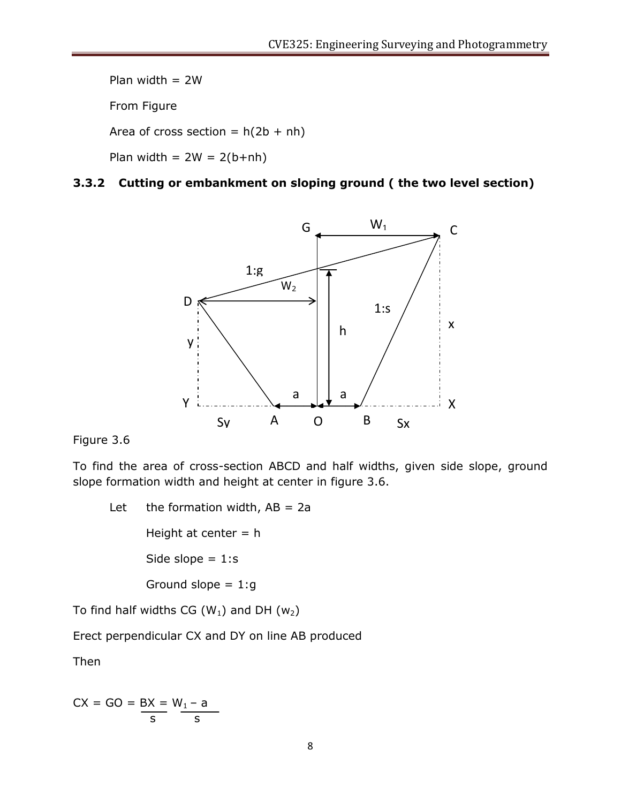Plan width  $= 2W$ From Figure Area of cross section =  $h(2b + nh)$ Plan width =  $2W = 2(b+nh)$ 

## **3.3.2 Cutting or embankment on sloping ground ( the two level section)**



Figure 3.6

To find the area of cross-section ABCD and half widths, given side slope, ground slope formation width and height at center in figure 3.6.

Let the formation width,  $AB = 2a$ Height at center  $= h$ Side slope  $= 1:$ s Ground slope  $= 1:g$ 

To find half widths CG  $(W_1)$  and DH  $(W_2)$ 

Erect perpendicular CX and DY on line AB produced

Then

$$
CX = GO = \frac{BX}{s} = \frac{W_1 - a}{s}
$$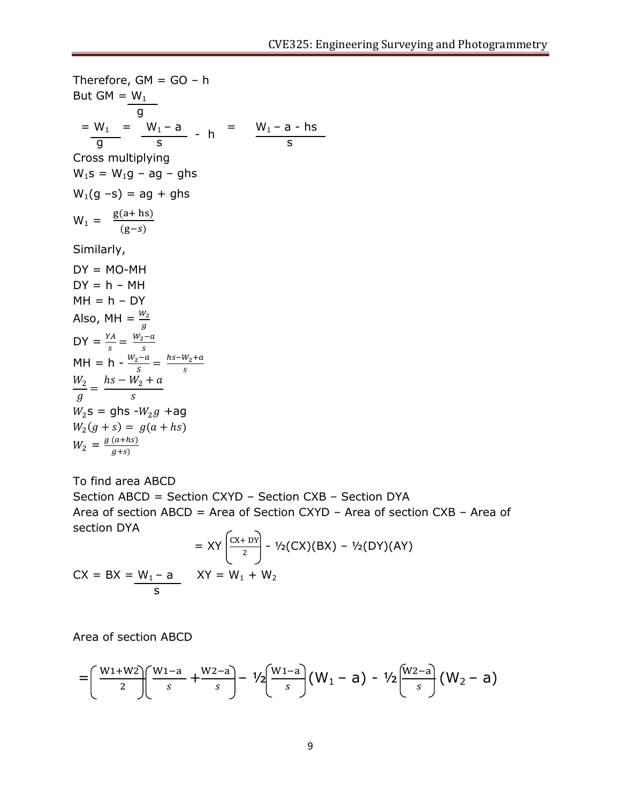Therefore,  $GM = GO - h$ But GM =  $W_1$  g  $= W_1 = W_1 - a$   $= W_1 - a - h s$  $\frac{m_1}{g}$   $\frac{m_1 \times n_2}{s}$  - h  $\frac{m_1 \times n_2}{s}$ Cross multiplying  $W_1s = W_1g - ag - ghs$  $W_1(q - s) = aq + qhs$  $W_1 = \frac{g}{g}$  $\overline{(\ }$ Similarly,  $DY = MO-MH$  $DY = h - MH$  $MH = h - DY$ Also, MH =  $\frac{W_2}{q}$  $\overline{g}$  $DY = \frac{YA}{s} = \frac{W_1}{s}$ s  $MH = h - \frac{W_1}{W_1}$  $\frac{a}{s} = \frac{h}{s}$ s  $W_2$  $\frac{1}{g} =$  $\boldsymbol{h}$  $\mathcal{S}_{0}$  $W_2$ s = ghs - $W_2g$  +ag  $W_2($  $W_2 = \frac{g}{g}$  $\overline{g}$ 

To find area ABCD Section ABCD = Section CXYD – Section CXB – Section DYA Area of section ABCD = Area of Section CXYD – Area of section CXB – Area of section DYA  $\sqrt{2}$  $\overline{\phantom{0}}$ 

$$
= XY \left[ \frac{CX + DY}{2} \right] - \frac{1}{2}(CX)(BX) - \frac{1}{2}(DY)(AY)
$$
  
 
$$
CX = BX = \frac{W_1 - a}{s} \qquad XY = W_1 + W_2
$$

Area of section ABCD

$$
= \left(\frac{W_1+W_2}{2}\right)\left(\frac{W_1-a}{s}+\frac{W_2-a}{s}\right)-\frac{1}{2}\left(\frac{W_1-a}{s}\right)(W_1-a)-\frac{1}{2}\left(\frac{W_2-a}{s}\right)(W_2-a)
$$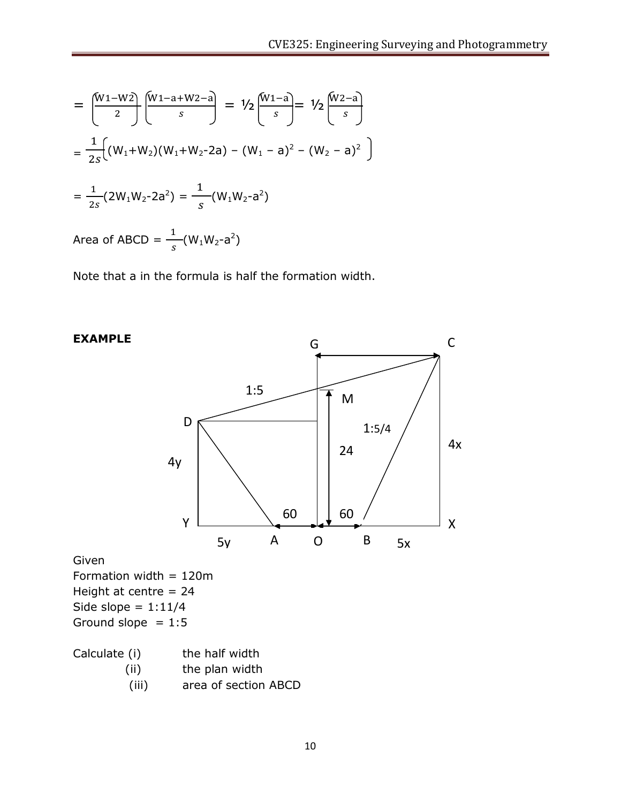$$
= \left(\frac{W_1 - W_2}{2}\right) \left(\frac{W_1 - a + W_2 - a}{s}\right) = \frac{1}{2} \left(\frac{W_1 - a}{s}\right) = \frac{1}{2s} \left(\frac{W_2 - a}{s}\right)
$$

$$
= \frac{1}{2s} \left(\frac{W_1 + W_2}{W_1 + W_2 - 2a} - (W_1 - a)^2 - (W_2 - a)^2\right)
$$

$$
= \frac{1}{2s} (2W_1 W_2 - 2a^2) = \frac{1}{s} (W_1 W_2 - a^2)
$$

Area of ABCD =  $\frac{1}{s}(W_1W_2-a^2)$ 

Note that a in the formula is half the formation width.

# G C1:5 Ŧ M D 1:5/4 4x 24 4y  $60$   $\downarrow$  60 Y X A B  $5y$  A O B  $5x$

**EXAMPLE**

Given

Formation width = 120m Height at centre = 24 Side slope =  $1:11/4$ Ground slope  $= 1:5$ 

(ii) the plan width

(iii) area of section ABCD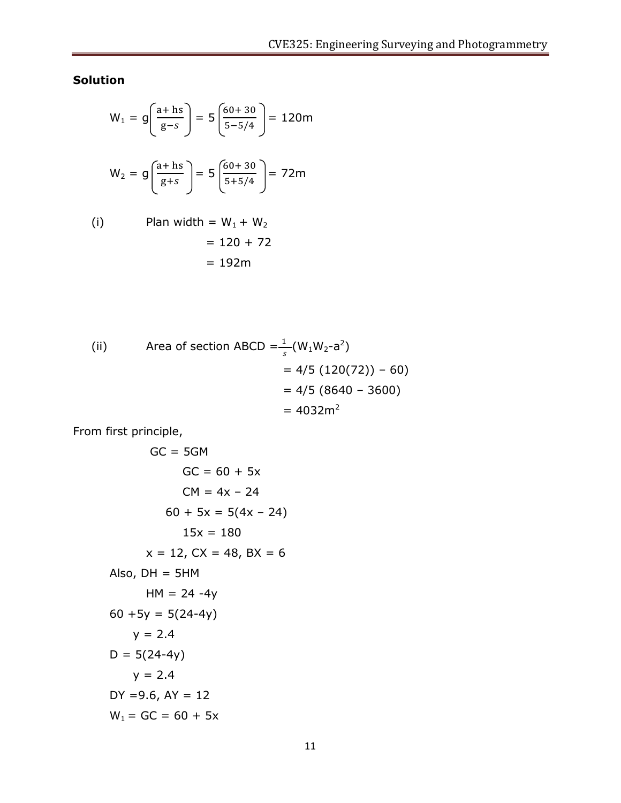**Solution**

$$
W_1 = g\left(\frac{a + hs}{g - s}\right) = 5\left(\frac{60 + 30}{5 - 5/4}\right) = 120m
$$
  

$$
W_2 = g\left(\frac{a + hs}{g + s}\right) = 5\left(\frac{60 + 30}{5 + 5/4}\right) = 72m
$$
  
(i) Plan width = W<sub>1</sub> + W<sub>2</sub>  
= 120 + 72

$$
= 192m
$$

(ii) Area of section ABCD = 
$$
\frac{1}{s}
$$
(W<sub>1</sub>W<sub>2</sub>-a<sup>2</sup>)  
= 4/5 (120(72)) - 60)  
= 4/5 (8640 - 3600)  
= 4032m<sup>2</sup>

From first principle,

$$
GC = 5GM
$$
  
\n
$$
GC = 60 + 5x
$$
  
\n
$$
CM = 4x - 24
$$
  
\n
$$
60 + 5x = 5(4x - 24)
$$
  
\n
$$
15x = 180
$$
  
\n
$$
x = 12, CX = 48, BX = 6
$$
  
\nAlso, DH = 5HM  
\n
$$
HM = 24 - 4y
$$
  
\n
$$
60 + 5y = 5(24 - 4y)
$$
  
\n
$$
y = 2.4
$$
  
\n
$$
D = 5(24 - 4y)
$$
  
\n
$$
y = 2.4
$$
  
\n
$$
DY = 9.6, AY = 12
$$
  
\n
$$
W_1 = GC = 60 + 5x
$$